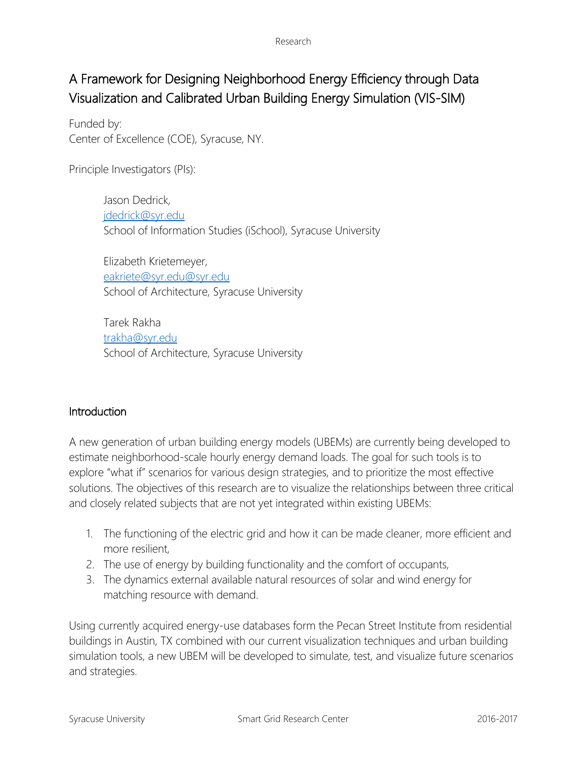# A Framework for Designing Neighborhood Energy Efficiency through Data Visualization and Calibrated Urban Building Energy Simulation (VIS-SIM)

Funded by: Center of Excellence (COE), Syracuse, NY.

Principle Investigators (PIs):

Jason Dedrick, [jdedrick@syr.edu](mailto:jdedrick@syr.edu) School of Information Studies (iSchool), Syracuse University

Elizabeth Krietemeyer, [eakriete@syr.edu@syr.edu](mailto:eakriete@syr.edu@syr.edu) School of Architecture, Syracuse University

Tarek Rakha [trakha@syr.edu](mailto:trakha@syr.edu) School of Architecture, Syracuse University

# Introduction

A new generation of urban building energy models (UBEMs) are currently being developed to estimate neighborhood-scale hourly energy demand loads. The goal for such tools is to explore "what if" scenarios for various design strategies, and to prioritize the most effective solutions. The objectives of this research are to visualize the relationships between three critical and closely related subjects that are not yet integrated within existing UBEMs:

- 1. The functioning of the electric grid and how it can be made cleaner, more efficient and more resilient,
- 2. The use of energy by building functionality and the comfort of occupants,
- 3. The dynamics external available natural resources of solar and wind energy for matching resource with demand.

Using currently acquired energy-use databases form the Pecan Street Institute from residential buildings in Austin, TX combined with our current visualization techniques and urban building simulation tools, a new UBEM will be developed to simulate, test, and visualize future scenarios and strategies.